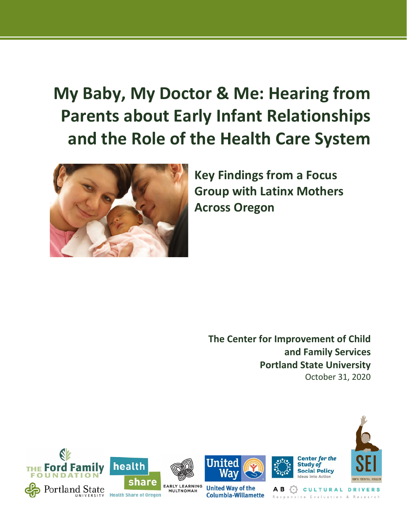# **My Baby, My Doctor & Me: Hearing from Parents about Early Infant Relationships and the Role of the Health Care System**



**Key Findings from a Focus Group with Latinx Mothers Across Oregon**

**The Center for Improvement of Child and Family Services Portland State University** October 31, 2020

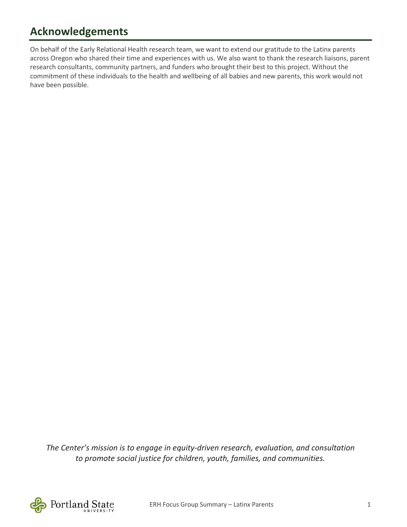# **Acknowledgements**

On behalf of the Early Relational Health research team, we want to extend our gratitude to the Latinx parents across Oregon who shared their time and experiences with us. We also want to thank the research liaisons, parent research consultants, community partners, and funders who brought their best to this project. Without the commitment of these individuals to the health and wellbeing of all babies and new parents, this work would not have been possible.

*The Center's mission is to engage in equity-driven research, evaluation, and consultation to promote social justice for children, youth, families, and communities.*

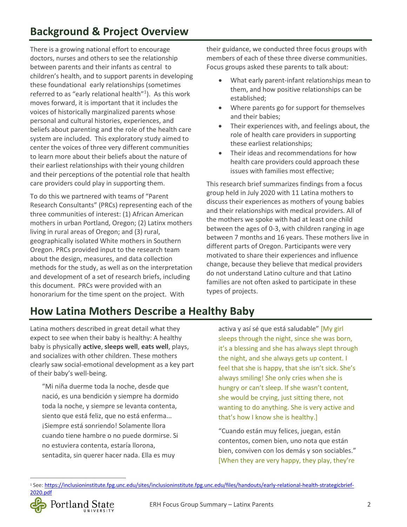There is a [growing national effort](file:///%5C%5Cpsu%5Cresources%5CStaff%5CGSSW%5CCWP%5CEarly%20Relational%20Health%5CReports%5CSEI%5COur%20project%20is%20seeking%20to%20partner%20with%20parents%20of%20infants%20and%20toddlers%20to%20advise%20us%20on%20how%20we%20can%20best%20partner%20with%20parents%20from%20their%20community%20to%20learn%20how%20they%20feel%20about%20their%20experiences%20with%20the%20health%20care%20system,%20and%20how%20%E2%80%93%20or%20whether%20-%20health%20care%20providers%20could%20provide%20better%20support%20from%20them%20in%20their%20role%20as%20parents.) to encourage doctors, nurses and others to see the relationship between parents and their infants as central to children's health, and to support parents in developing these foundational early relationships (sometimes referred to as "early relational health"<sup>[1](#page-2-0)</sup>). As this work moves forward, it is important that it includes the voices of historically marginalized parents whose personal and cultural histories, experiences, and beliefs about parenting and the role of the health care system are included. This exploratory study aimed to center the voices of three very different communities to learn more about their beliefs about the nature of their earliest relationships with their young children and their perceptions of the potential role that health care providers could play in supporting them.

To do this we partnered with teams of "Parent Research Consultants" (PRCs) representing each of the three communities of interest: (1) African American mothers in urban Portland, Oregon; (2) Latinx mothers living in rural areas of Oregon; and (3) rural, geographically isolated White mothers in Southern Oregon. PRCs provided input to the research team about the design, measures, and data collection methods for the study, as well as on the interpretation and development of a set of research briefs, including this document. PRCs were provided with an honorarium for the time spent on the project. With

their guidance, we conducted three focus groups with members of each of these three diverse communities. Focus groups asked these parents to talk about:

- What early parent-infant relationships mean to them, and how positive relationships can be established;
- Where parents go for support for themselves and their babies;
- Their experiences with, and feelings about, the role of health care providers in supporting these earliest relationships;
- Their ideas and recommendations for how health care providers could approach these issues with families most effective;

This research brief summarizes findings from a focus group held in July 2020 with 11 Latina mothers to discuss their experiences as mothers of young babies and their relationships with medical providers. All of the mothers we spoke with had at least one child between the ages of 0-3, with children ranging in age between 7 months and 16 years. These mothers live in different parts of Oregon. Participants were very motivated to share their experiences and influence change, because they believe that medical providers do not understand Latino culture and that Latino families are not often asked to participate in these types of projects.

# **How Latina Mothers Describe a Healthy Baby**

Latina mothers described in great detail what they expect to see when their baby is healthy: A healthy baby is physically **active**, **sleeps well**, **eats well**, plays, and socializes with other children. These mothers clearly saw social-emotional development as a key part of their baby's well-being.

"Mi niña duerme toda la noche, desde que nació, es una bendición y siempre ha dormido toda la noche, y siempre se levanta contenta, siento que está feliz, que no está enferma... ¡Siempre está sonriendo! Solamente llora cuando tiene hambre o no puede dormirse. Si no estuviera contenta, estaría llorona, sentadita, sin querer hacer nada. Ella es muy

activa y así sé que está saludable" [My girl sleeps through the night, since she was born, it's a blessing and she has always slept through the night, and she always gets up content. I feel that she is happy, that she isn't sick. She's always smiling! She only cries when she is hungry or can't sleep. If she wasn't content, she would be crying, just sitting there, not wanting to do anything. She is very active and that's how I know she is healthy.]

"Cuando están muy felices, juegan, están contentos, comen bien, uno nota que están bien, conviven con los demás y son sociables." [When they are very happy, they play, they're

<span id="page-2-0"></span>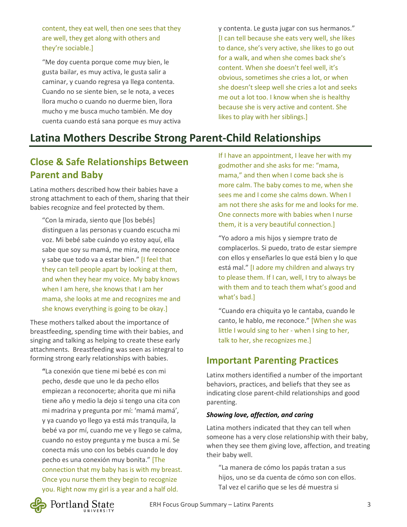content, they eat well, then one sees that they are well, they get along with others and they're sociable.]

"Me doy cuenta porque come muy bien, le gusta bailar, es muy activa, le gusta salir a caminar, y cuando regresa ya llega contenta. Cuando no se siente bien, se le nota, a veces llora mucho o cuando no duerme bien, llora mucho y me busca mucho también. Me doy cuenta cuando está sana porque es muy activa y contenta. Le gusta jugar con sus hermanos." [I can tell because she eats very well, she likes to dance, she's very active, she likes to go out for a walk, and when she comes back she's content. When she doesn't feel well, it's obvious, sometimes she cries a lot, or when she doesn't sleep well she cries a lot and seeks me out a lot too. I know when she is healthy because she is very active and content. She likes to play with her siblings.]

### **Latina Mothers Describe Strong Parent-Child Relationships**

### **Close & Safe Relationships Between Parent and Baby**

Latina mothers described how their babies have a strong attachment to each of them, sharing that their babies recognize and feel protected by them.

"Con la mirada, siento que [los bebés] distinguen a las personas y cuando escucha mi voz. Mi bebé sabe cuándo yo estoy aquí, ella sabe que soy su mamá, me mira, me reconoce y sabe que todo va a estar bien." [I feel that they can tell people apart by looking at them, and when they hear my voice. My baby knows when I am here, she knows that I am her mama, she looks at me and recognizes me and she knows everything is going to be okay.]

These mothers talked about the importance of breastfeeding, spending time with their babies, and singing and talking as helping to create these early attachments. Breastfeeding was seen as integral to forming strong early relationships with babies.

**"**La conexión que tiene mi bebé es con mi pecho, desde que uno le da pecho ellos empiezan a reconocerte; ahorita que mi niña tiene año y medio la dejo si tengo una cita con mi madrina y pregunta por mí: 'mamá mamá', y ya cuando yo llego ya está más tranquila, la bebé va por mí, cuando me ve y llego se calma, cuando no estoy pregunta y me busca a mí. Se conecta más uno con los bebés cuando le doy pecho es una conexión muy bonita." [The connection that my baby has is with my breast. Once you nurse them they begin to recognize you. Right now my girl is a year and a half old.

If I have an appointment, I leave her with my godmother and she asks for me: "mama, mama," and then when I come back she is more calm. The baby comes to me, when she sees me and I come she calms down. When I am not there she asks for me and looks for me. One connects more with babies when I nurse them, it is a very beautiful connection.]

"Yo adoro a mis hijos y siempre trato de complacerlos. Si puedo, trato de estar siempre con ellos y enseñarles lo que está bien y lo que está mal." [I adore my children and always try to please them. If I can, well, I try to always be with them and to teach them what's good and what's bad.]

"Cuando era chiquita yo le cantaba, cuando le canto, le hablo, me reconoce." [When she was little I would sing to her - when I sing to her, talk to her, she recognizes me.]

### **Important Parenting Practices**

Latinx mothers identified a number of the important behaviors, practices, and beliefs that they see as indicating close parent-child relationships and good parenting.

#### *Showing love, affection, and caring*

Latina mothers indicated that they can tell when someone has a very close relationship with their baby, when they see them giving love, affection, and treating their baby well.

"La manera de cómo los papás tratan a sus hijos, uno se da cuenta de cómo son con ellos. Tal vez el cariño que se les dé muestra si

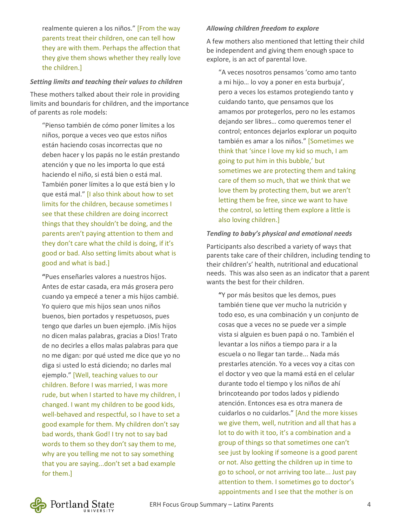realmente quieren a los niños." [From the way parents treat their children, one can tell how they are with them. Perhaps the affection that they give them shows whether they really love the children.]

#### *Setting limits and teaching their values to children*

These mothers talked about their role in providing limits and boundaris for children, and the importance of parents as role models:

"Pienso también de cómo poner límites a los niños, porque a veces veo que estos niños están haciendo cosas incorrectas que no deben hacer y los papás no le están prestando atención y que no les importa lo que está haciendo el niño, si está bien o está mal. También poner límites a lo que está bien y lo que está mal." [I also think about how to set limits for the children, because sometimes I see that these children are doing incorrect things that they shouldn't be doing, and the parents aren't paying attention to them and they don't care what the child is doing, if it's good or bad. Also setting limits about what is good and what is bad.]

**"**Pues enseñarles valores a nuestros hijos. Antes de estar casada, era más grosera pero cuando ya empecé a tener a mis hijos cambié. Yo quiero que mis hijos sean unos niños buenos, bien portados y respetuosos, pues tengo que darles un buen ejemplo. ¡Mis hijos no dicen malas palabras, gracias a Dios! Trato de no decirles a ellos malas palabras para que no me digan: por qué usted me dice que yo no diga si usted lo está diciendo; no darles mal ejemplo." [Well, teaching values to our children. Before I was married, I was more rude, but when I started to have my children, I changed. I want my children to be good kids, well-behaved and respectful, so I have to set a good example for them. My children don't say bad words, thank God! I try not to say bad words to them so they don't say them to me, why are you telling me not to say something that you are saying...don't set a bad example for them.]

#### *Allowing children freedom to explore*

A few mothers also mentioned that letting their child be independent and giving them enough space to explore, is an act of parental love.

"A veces nosotros pensamos 'como amo tanto a mi hijo… lo voy a poner en esta burbuja', pero a veces los estamos protegiendo tanto y cuidando tanto, que pensamos que los amamos por protegerlos, pero no les estamos dejando ser libres… como queremos tener el control; entonces dejarlos explorar un poquito también es amar a los niños." [Sometimes we think that 'since I love my kid so much, I am going to put him in this bubble,' but sometimes we are protecting them and taking care of them so much, that we think that we love them by protecting them, but we aren't letting them be free, since we want to have the control, so letting them explore a little is also loving children.]

#### *Tending to baby's physical and emotional needs*

Participants also described a variety of ways that parents take care of their children, including tending to their children's' health, nutritional and educational needs. This was also seen as an indicator that a parent wants the best for their children.

**"**Y por más besitos que les demos, pues también tiene que ver mucho la nutrición y todo eso, es una combinación y un conjunto de cosas que a veces no se puede ver a simple vista si alguien es buen papá o no. También el levantar a los niños a tiempo para ir a la escuela o no llegar tan tarde... Nada más prestarles atención. Yo a veces voy a citas con el doctor y veo que la mamá está en el celular durante todo el tiempo y los niños de ahí brincoteando por todos lados y pidiendo atención. Entonces esa es otra manera de cuidarlos o no cuidarlos." [And the more kisses we give them, well, nutrition and all that has a lot to do with it too, it's a combination and a group of things so that sometimes one can't see just by looking if someone is a good parent or not. Also getting the children up in time to go to school, or not arriving too late... Just pay attention to them. I sometimes go to doctor's appointments and I see that the mother is on

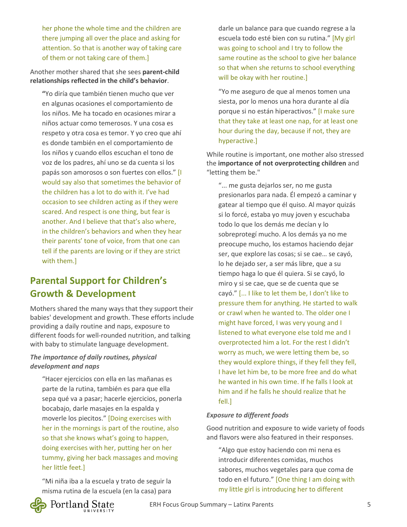her phone the whole time and the children are there jumping all over the place and asking for attention. So that is another way of taking care of them or not taking care of them.]

#### Another mother shared that she sees **parent-child relationships reflected in the child's behavior**.

**"**Yo diría que también tienen mucho que ver en algunas ocasiones el comportamiento de los niños. Me ha tocado en ocasiones mirar a niños actuar como temerosos. Y una cosa es respeto y otra cosa es temor. Y yo creo que ahí es donde también en el comportamiento de los niños y cuando ellos escuchan el tono de voz de los padres, ahí uno se da cuenta si los papás son amorosos o son fuertes con ellos." [I would say also that sometimes the behavior of the children has a lot to do with it. I've had occasion to see children acting as if they were scared. And respect is one thing, but fear is another. And I believe that that's also where, in the children's behaviors and when they hear their parents' tone of voice, from that one can tell if the parents are loving or if they are strict with them.]

### **Parental Support for Children's Growth & Development**

Mothers shared the many ways that they support their babies' development and growth. These efforts include providing a daily routine and naps, exposure to different foods for well-rounded nutrition, and talking with baby to stimulate language development.

#### *The importance of daily routines, physical development and naps*

"Hacer ejercicios con ella en las mañanas es parte de la rutina, también es para que ella sepa qué va a pasar; hacerle ejercicios, ponerla bocabajo, darle masajes en la espalda y moverle los piecitos." [Doing exercises with her in the mornings is part of the routine, also so that she knows what's going to happen, doing exercises with her, putting her on her tummy, giving her back massages and moving her little feet.]

"Mi niña iba a la escuela y trato de seguir la misma rutina de la escuela (en la casa) para



Portland State

"Yo me aseguro de que al menos tomen una siesta, por lo menos una hora durante al día porque si no están hiperactivos." [I make sure that they take at least one nap, for at least one hour during the day, because if not, they are hyperactive.]

While routine is important, one mother also stressed the **importance of not overprotecting children** and "letting them be."

"... me gusta dejarlos ser, no me gusta presionarlos para nada. Él empezó a caminar y gatear al tiempo que él quiso. Al mayor quizás si lo forcé, estaba yo muy joven y escuchaba todo lo que los demás me decían y lo sobreprotegí mucho. A los demás ya no me preocupe mucho, los estamos haciendo dejar ser, que explore las cosas; si se cae… se cayó, lo he dejado ser, a ser más libre, que a su tiempo haga lo que él quiera. Si se cayó, lo miro y si se cae, que se de cuenta que se cayó." [... I like to let them be, I don't like to pressure them for anything. He started to walk or crawl when he wanted to. The older one I might have forced, I was very young and I listened to what everyone else told me and I overprotected him a lot. For the rest I didn't worry as much, we were letting them be, so they would explore things, if they fell they fell, I have let him be, to be more free and do what he wanted in his own time. If he falls I look at him and if he falls he should realize that he fell.]

#### *Exposure to different foods*

Good nutrition and exposure to wide variety of foods and flavors were also featured in their responses.

"Algo que estoy haciendo con mi nena es introducir diferentes comidas, muchos sabores, muchos vegetales para que coma de todo en el futuro." [One thing I am doing with my little girl is introducing her to different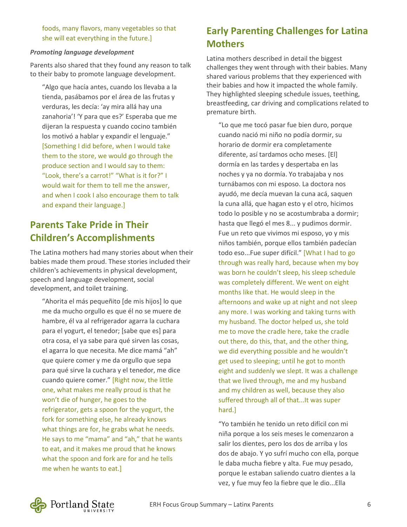foods, many flavors, many vegetables so that she will eat everything in the future.]

#### *Promoting language development*

Parents also shared that they found any reason to talk to their baby to promote language development.

"Algo que hacía antes, cuando los llevaba a la tienda, pasábamos por el área de las frutas y verduras, les decía: 'ay mira allá hay una zanahoria'! 'Y para que es?' Esperaba que me dijeran la respuesta y cuando cocino también los motivó a hablar y expandir el lenguaje." [Something I did before, when I would take them to the store, we would go through the produce section and I would say to them: "Look, there's a carrot!" "What is it for?" I would wait for them to tell me the answer, and when I cook I also encourage them to talk and expand their language.]

### **Parents Take Pride in Their Children's Accomplishments**

The Latina mothers had many stories about when their babies made them proud. These stories included their children's achievements in physical development, speech and language development, social development, and toilet training.

"Ahorita el más pequeñito [de mis hijos] lo que me da mucho orgullo es que él no se muere de hambre, él va al refrigerador agarra la cuchara para el yogurt, el tenedor; [sabe que es] para otra cosa, el ya sabe para qué sirven las cosas, el agarra lo que necesita. Me dice mamá "ah" que quiere comer y me da orgullo que sepa para qué sirve la cuchara y el tenedor, me dice cuando quiere comer." [Right now, the little one, what makes me really proud is that he won't die of hunger, he goes to the refrigerator, gets a spoon for the yogurt, the fork for something else, he already knows what things are for, he grabs what he needs. He says to me "mama" and "ah," that he wants to eat, and it makes me proud that he knows what the spoon and fork are for and he tells me when he wants to eat.]

### **Early Parenting Challenges for Latina Mothers**

Latina mothers described in detail the biggest challenges they went through with their babies. Many shared various problems that they experienced with their babies and how it impacted the whole family. They highlighted sleeping schedule issues, teething, breastfeeding, car driving and complications related to premature birth.

"Lo que me tocó pasar fue bien duro, porque cuando nació mi niño no podía dormir, su horario de dormir era completamente diferente, así tardamos ocho meses. [El] dormía en las tardes y despertaba en las noches y ya no dormía. Yo trabajaba y nos turnábamos con mi esposo. La doctora nos ayudó, me decía muevan la cuna acá, saquen la cuna allá, que hagan esto y el otro, hicimos todo lo posible y no se acostumbraba a dormir; hasta que llegó el mes 8... y pudimos dormir. Fue un reto que vivimos mi esposo, yo y mis niños también, porque ellos también padecían todo eso...Fue super difícil." [What I had to go through was really hard, because when my boy was born he couldn't sleep, his sleep schedule was completely different. We went on eight months like that. He would sleep in the afternoons and wake up at night and not sleep any more. I was working and taking turns with my husband. The doctor helped us, she told me to move the cradle here, take the cradle out there, do this, that, and the other thing, we did everything possible and he wouldn't get used to sleeping; until he got to month eight and suddenly we slept. It was a challenge that we lived through, me and my husband and my children as well, because they also suffered through all of that...It was super hard.]

"Yo también he tenido un reto difícil con mi niña porque a los seis meses le comenzaron a salir los dientes, pero los dos de arriba y los dos de abajo. Y yo sufrí mucho con ella, porque le daba mucha fiebre y alta. Fue muy pesado, porque le estaban saliendo cuatro dientes a la vez, y fue muy feo la fiebre que le dio...Ella

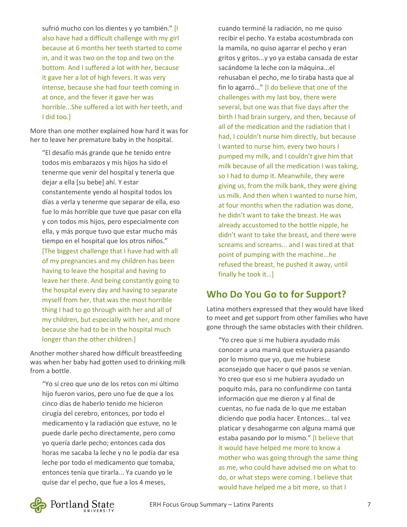sufrió mucho con los dientes y yo también." [I also have had a difficult challenge with my girl because at 6 months her teeth started to come in, and it was two on the top and two on the bottom. And I suffered a lot with her, because it gave her a lot of high fevers. It was very intense, because she had four teeth coming in at once, and the fever it gave her was horrible...She suffered a lot with her teeth, and I did too.]

More than one mother explained how hard it was for her to leave her premature baby in the hospital.

"El desafío más grande que he tenido entre todos mis embarazos y mis hijos ha sido el tenerme que venir del hospital y tenerla que dejar a ella [su bebe] ahí. Y estar constantemente yendo al hospital todos los días a verla y tenerme que separar de ella, eso fue lo más horrible que tuve que pasar con ella y con todos mis hijos, pero especialmente con ella, y más porque tuvo que estar mucho más tiempo en el hospital que los otros niños." [The biggest challenge that I have had with all of my pregnancies and my children has been having to leave the hospital and having to leave her there. And being constantly going to the hospital every day and having to separate myself from her, that was the most horrible thing I had to go through with her and all of my children, but especially with her, and more because she had to be in the hospital much longer than the other children.]

Another mother shared how difficult breastfeeding was when her baby had gotten used to drinking milk from a bottle.

"Yo sí creo que uno de los retos con mi último hijo fueron varios, pero uno fue de que a los cinco días de haberlo tenido me hicieron cirugía del cerebro, entonces, por todo el medicamento y la radiación que estuve, no le puede darle pecho directamente, pero como yo quería darle pecho; entonces cada dos horas me sacaba la leche y no le podía dar esa leche por todo el medicamento que tomaba, entonces tenía que tirarla... Ya cuando yo le quise dar el pecho, que fue a los 4 meses,

cuando terminé la radiación, no me quiso recibir el pecho. Ya estaba acostumbrada con la mamila, no quiso agarrar el pecho y eran gritos y gritos...y yo ya estaba cansada de estar sacándome la leche con la máquina...el rehusaban el pecho, me lo tiraba hasta que al fin lo agarró..." [I do believe that one of the challenges with my last boy, there were several, but one was that five days after the birth I had brain surgery, and then, because of all of the medication and the radiation that I had, I couldn't nurse him directly, but because I wanted to nurse him, every two hours I pumped my milk, and I couldn't give him that milk because of all the medication I was taking, so I had to dump it. Meanwhile, they were giving us, from the milk bank, they were giving us milk. And then when I wanted to nurse him, at four months when the radiation was done, he didn't want to take the breast. He was already accustomed to the bottle nipple, he didn't want to take the breast, and there were screams and screams... and I was tired at that point of pumping with the machine...he refused the breast, he pushed it away, until finally he took it…]

### **Who Do You Go to for Support?**

Latina mothers expressed that they would have liked to meet and get support from other families who have gone through the same obstacles with their children.

"Yo creo que sí me hubiera ayudado más conocer a una mamá que estuviera pasando por lo mismo que yo, que me hubiese aconsejado que hacer o qué pasos se venían. Yo creo que eso si me hubiera ayudado un poquito más, para no confundirme con tanta información que me dieron y al final de cuentas, no fue nada de lo que me estaban diciendo que podía hacer. Entonces... tal vez platicar y desahogarme con alguna mamá que estaba pasando por lo mismo." [I believe that it would have helped me more to know a mother who was going through the same thing as me, who could have advised me on what to do, or what steps were coming. I believe that would have helped me a bit more, so that I

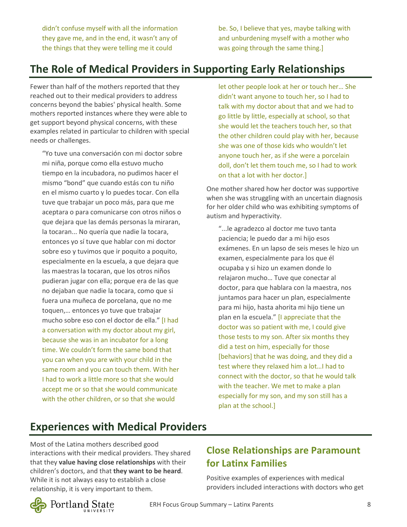didn't confuse myself with all the information they gave me, and in the end, it wasn't any of the things that they were telling me it could

be. So, I believe that yes, maybe talking with and unburdening myself with a mother who was going through the same thing.]

## **The Role of Medical Providers in Supporting Early Relationships**

Fewer than half of the mothers reported that they reached out to their medical providers to address concerns beyond the babies' physical health. Some mothers reported instances where they were able to get support beyond physical concerns, with these examples related in particular to children with special needs or challenges.

"Yo tuve una conversación con mi doctor sobre mi niña, porque como ella estuvo mucho tiempo en la incubadora, no pudimos hacer el mismo "bond" que cuando estás con tu niño en el mismo cuarto y lo puedes tocar. Con ella tuve que trabajar un poco más, para que me aceptara o para comunicarse con otros niños o que dejara que las demás personas la miraran, la tocaran... No quería que nadie la tocara, entonces yo sí tuve que hablar con mi doctor sobre eso y tuvimos que ir poquito a poquito, especialmente en la escuela, a que dejara que las maestras la tocaran, que los otros niños pudieran jugar con ella; porque era de las que no dejaban que nadie la tocara, como que si fuera una muñeca de porcelana, que no me toquen,… entonces yo tuve que trabajar mucho sobre eso con el doctor de ella." [I had a conversation with my doctor about my girl, because she was in an incubator for a long time. We couldn't form the same bond that you can when you are with your child in the same room and you can touch them. With her I had to work a little more so that she would accept me or so that she would communicate with the other children, or so that she would

let other people look at her or touch her… She didn't want anyone to touch her, so I had to talk with my doctor about that and we had to go little by little, especially at school, so that she would let the teachers touch her, so that the other children could play with her, because she was one of those kids who wouldn't let anyone touch her, as if she were a porcelain doll, don't let them touch me, so I had to work on that a lot with her doctor.]

One mother shared how her doctor was supportive when she was struggling with an uncertain diagnosis for her older child who was exhibiting symptoms of autism and hyperactivity.

"...le agradezco al doctor me tuvo tanta paciencia; le puedo dar a mi hijo esos exámenes. En un lapso de seis meses le hizo un examen, especialmente para los que él ocupaba y si hizo un examen donde lo relajaron mucho… Tuve que conectar al doctor, para que hablara con la maestra, nos juntamos para hacer un plan, especialmente para mi hijo, hasta ahorita mi hijo tiene un plan en la escuela." [I appreciate that the doctor was so patient with me, I could give those tests to my son. After six months they did a test on him, especially for those [behaviors] that he was doing, and they did a test where they relaxed him a lot…I had to connect with the doctor, so that he would talk with the teacher. We met to make a plan especially for my son, and my son still has a plan at the school.]

### **Experiences with Medical Providers**

Most of the Latina mothers described good interactions with their medical providers. They shared that they **value having close relationships** with their children's doctors, and that **they want to be heard**. While it is not always easy to establish a close relationship, it is very important to them.

Portland State

### **Close Relationships are Paramount for Latinx Families**

Positive examples of experiences with medical providers included interactions with doctors who get

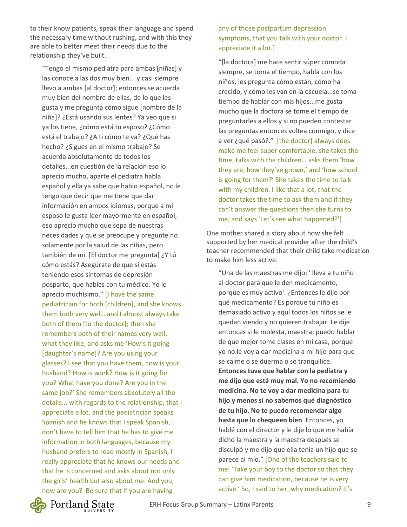to their know patients, speak their language and spend the necessary time without rushing, and with this they are able to better meet their needs due to the relationship they've built.

"Tengo el mismo pediatra para ambas [niñas] y las conoce a las dos muy bien... y casi siempre llevo a ambas [al doctor]; entonces se acuerda muy bien del nombre de ellas, de lo que les gusta y me pregunta cómo sigue [nombre de la niña]? ¿Está usando sus lentes? Ya veo que si ya los tiene, ¿cómo está tu esposo? ¿Cómo está el trabajo? ¿A ti cómo te va? ¿Qué has hecho? ¿Sigues en el mismo trabajo? Se acuerda absolutamente de todos los detalles...en cuestión de la relación eso lo aprecio mucho, aparte el pediatra habla español y ella ya sabe que hablo español, no le tengo que decir que me tiene que dar información en ambos idiomas, porque a mi esposo le gusta leer mayormente en español, eso aprecio mucho que sepa de nuestras necesidades y que se preocupe y pregunte no solamente por la salud de las niñas, pero también de mí. [El doctor me pregunta] ¿Y tú cómo estás? Asegúrate de que si estás teniendo esos síntomas de depresión posparto, que hables con tu médico. Yo lo aprecio muchísimo." [I have the same pediatrician for both [children], and she knows them both very well…and I almost always take both of them [to the doctor]; then she remembers both of their names very well, what they like, and asks me 'How's it going [daughter's name]? Are you using your glasses? I see that you have them, how is your husband? How is work? How is it going for you? What have you done? Are you in the same job?' She remembers absolutely all the details... with regards to the relationship, that I appreciate a lot, and the pediatrician speaks Spanish and he knows that I speak Spanish, I don't have to tell him that he has to give me information in both languages, because my husband prefers to read mostly in Spanish, I really appreciate that he knows our needs and that he is concerned and asks about not only the girls' health but also about me. And you, how are you? Be sure that if you are having

#### any of those postpartum depression symptoms, that you talk with your doctor. I appreciate it a lot.]

"[la doctora] me hace sentir súper cómoda siempre, se toma el tiempo, habla con los niños, les pregunta cómo están, cómo ha crecido, y cómo les van en la escuela...se toma tiempo de hablar con mis hijos...me gusta mucho que la doctora se tome el tiempo de preguntarles a ellos y si no pueden contestar las preguntas entonces voltea conmigo, y dice a ver ¿qué pasó?." [the doctor] always does make me feel super comfortable, she takes the time, talks with the children… asks them 'how they are, how they've grown,' and 'how school is going for them?' She takes the time to talk with my children. I like that a lot, that the doctor takes the time to ask them and if they can't answer the questions then she turns to me, and says 'Let's see what happened?']

One mother shared a story about how she felt supported by her medical provider after the child's teacher recommended that their child take medication to make him less active.

"Una de las maestras me dijo: ' lleva a tu niño al doctor para que le den medicamento, porque es muy activo'. ¿Entonces le dije por qué medicamento? Es porque tu niño es demasiado activo y aquí todos los niños se le quedan viendo y no quieren trabajar. Le dije entonces si le molesta, maestra; puedo hablar de que mejor tome clases en mi casa, porque yo no le voy a dar medicina a mi hijo para que se calme o se duerma o se tranquilice. **Entonces tuve que hablar con la pediatra y me dijo que está muy mal. Yo no recomiendo medicina. No te voy a dar medicina para tu hijo y menos si no sabemos qué diagnóstico de tu hijo. No te puedo recomendar algo hasta que lo chequeen bien**. Entonces, yo hablé con el director y le dije lo que me había dicho la maestra y la maestra después se disculpó y me dijo que ella tenía un hijo que se parece al mío." [One of the teachers said to me: 'Take your boy to the doctor so that they can give him medication, because he is very active.' So, I said to her, why medication? It's

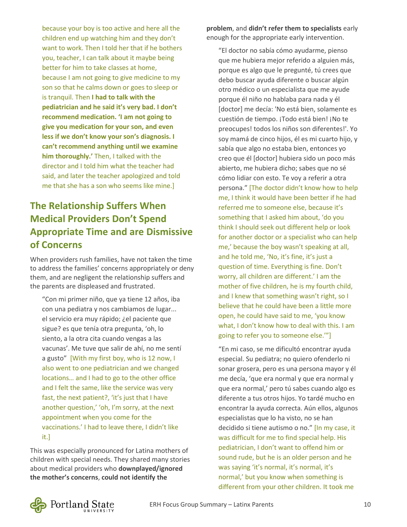because your boy is too active and here all the children end up watching him and they don't want to work. Then I told her that if he bothers you, teacher, I can talk about it maybe being better for him to take classes at home, because I am not going to give medicine to my son so that he calms down or goes to sleep or is tranquil. Then **I had to talk with the pediatrician and he said it's very bad. I don't recommend medication. 'I am not going to give you medication for your son, and even less if we don't know your son's diagnosis. I can't recommend anything until we examine him thoroughly.'** Then, I talked with the director and I told him what the teacher had said, and later the teacher apologized and told me that she has a son who seems like mine.]

### **The Relationship Suffers When Medical Providers Don't Spend Appropriate Time and are Dismissive of Concerns**

When providers rush families, have not taken the time to address the families' concerns appropriately or deny them, and are negligent the relationship suffers and the parents are displeased and frustrated.

"Con mi primer niño, que ya tiene 12 años, iba con una pediatra y nos cambiamos de lugar... el servicio era muy rápido; ¿el paciente que sigue? es que tenía otra pregunta, 'oh, lo siento, a la otra cita cuando vengas a las vacunas'. Me tuve que salir de ahí, no me sentí a gusto" [With my first boy, who is 12 now, I also went to one pediatrician and we changed locations… and I had to go to the other office and I felt the same, like the service was very fast, the next patient?, 'it's just that I have another question,' 'oh, I'm sorry, at the next appointment when you come for the vaccinations.' I had to leave there, I didn't like it.]

This was especially pronounced for Latina mothers of children with special needs. They shared many stories about medical providers who **downplayed/ignored the mother's concerns**, **could not identify the** 

**problem**, and **didn't refer them to specialists** early enough for the appropriate early intervention.

"El doctor no sabía cómo ayudarme, pienso que me hubiera mejor referido a alguien más, porque es algo que le pregunté, tú crees que debo buscar ayuda diferente o buscar algún otro médico o un especialista que me ayude porque él niño no hablaba para nada y él [doctor] me decía: 'No está bien, solamente es cuestión de tiempo. ¡Todo está bien! ¡No te preocupes! todos los niños son diferentes!'. Yo soy mamá de cinco hijos, él es mi cuarto hijo, y sabía que algo no estaba bien, entonces yo creo que él [doctor] hubiera sido un poco más abierto, me hubiera dicho; sabes que no sé cómo lidiar con esto. Te voy a referir a otra persona." [The doctor didn't know how to help me, I think it would have been better if he had referred me to someone else, because it's something that I asked him about, 'do you think I should seek out different help or look for another doctor or a specialist who can help me,' because the boy wasn't speaking at all, and he told me, 'No, it's fine, it's just a question of time. Everything is fine. Don't worry, all children are different.' I am the mother of five children, he is my fourth child, and I knew that something wasn't right, so I believe that he could have been a little more open, he could have said to me, 'you know what, I don't know how to deal with this. I am going to refer you to someone else.'"]

"En mi caso, se me dificultó encontrar ayuda especial. Su pediatra; no quiero ofenderlo ni sonar grosera, pero es una persona mayor y él me decía, 'que era normal y que era normal y que era normal,' pero tú sabes cuando algo es diferente a tus otros hijos. Yo tardé mucho en encontrar la ayuda correcta. Aún ellos, algunos especialistas que lo ha visto, no se han decidido si tiene autismo o no." [In my case, it was difficult for me to find special help. His pediatrician, I don't want to offend him or sound rude, but he is an older person and he was saying 'it's normal, it's normal, it's normal,' but you know when something is different from your other children. It took me

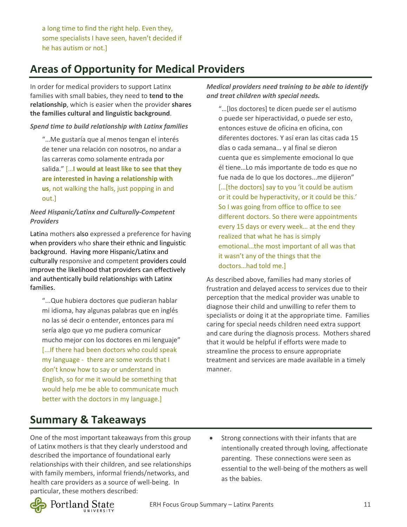a long time to find the right help. Even they, some specialists I have seen, haven't decided if he has autism or not.]

# **Areas of Opportunity for Medical Providers**

In order for medical providers to support Latinx families with small babies, they need to **tend to the relationship**, which is easier when the provider **shares the families cultural and linguistic background**.

#### *Spend time to build relationship with Latinx families*

"…Me gustaría que al menos tengan el interés de tener una relación con nosotros, no andar a las carreras como solamente entrada por salida." […**I would at least like to see that they are interested in having a relationship with us**, not walking the halls, just popping in and out.]

#### *Need Hispanic/Latinx and Culturally-Competent Providers*

Latina mothers also expressed a preference for having when providers who share their ethnic and linguistic background. Having more Hispanic/Latinx and culturally responsive and competent providers could improve the likelihood that providers can effectively and authentically build relationships with Latinx families.

"...Que hubiera doctores que pudieran hablar mi idioma, hay algunas palabras que en inglés no las sé decir o entender, entonces para mí sería algo que yo me pudiera comunicar mucho mejor con los doctores en mi lenguaje" [...If there had been doctors who could speak my language - there are some words that I don't know how to say or understand in English, so for me it would be something that would help me be able to communicate much better with the doctors in my language.]

*Medical providers need training to be able to identify and treat children with special needs.*

"…[los doctores] te dicen puede ser el autismo o puede ser hiperactividad, o puede ser esto, entonces estuve de oficina en oficina, con diferentes doctores. Y así eran las citas cada 15 días o cada semana… y al final se dieron cuenta que es simplemente emocional lo que él tiene…Lo más importante de todo es que no fue nada de lo que los doctores...me dijieron" [...[the doctors] say to you 'it could be autism or it could be hyperactivity, or it could be this.' So I was going from office to office to see different doctors. So there were appointments every 15 days or every week… at the end they realized that what he has is simply emotional…the most important of all was that it wasn't any of the things that the doctors…had told me.]

As described above, families had many stories of frustration and delayed access to services due to their perception that the medical provider was unable to diagnose their child and unwilling to refer them to specialists or doing it at the appropriate time. Families caring for special needs children need extra support and care during the diagnosis process. Mothers shared that it would be helpful if efforts were made to streamline the process to ensure appropriate treatment and services are made available in a timely manner.

### **Summary & Takeaways**

One of the most important takeaways from this group of Latinx mothers is that they clearly understood and described the importance of foundational early relationships with their children, and see relationships with family members, informal friends/networks, and health care providers as a source of well-being. In particular, these mothers described:

Strong connections with their infants that are intentionally created through loving, affectionate parenting. These connections were seen as essential to the well-being of the mothers as well as the babies.

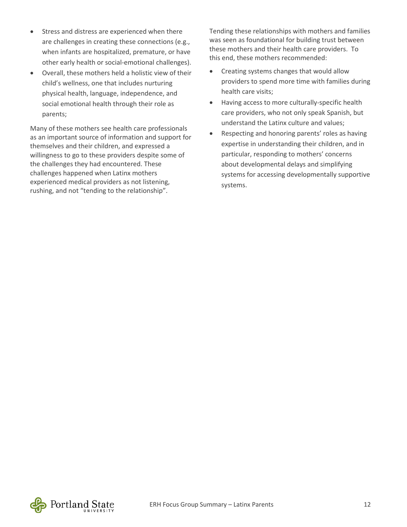- Stress and distress are experienced when there are challenges in creating these connections (e.g., when infants are hospitalized, premature, or have other early health or social-emotional challenges).
- Overall, these mothers held a holistic view of their child's wellness, one that includes nurturing physical health, language, independence, and social emotional health through their role as parents;

Many of these mothers see health care professionals as an important source of information and support for themselves and their children, and expressed a willingness to go to these providers despite some of the challenges they had encountered. These challenges happened when Latinx mothers experienced medical providers as not listening, rushing, and not "tending to the relationship".

Tending these relationships with mothers and families was seen as foundational for building trust between these mothers and their health care providers. To this end, these mothers recommended:

- Creating systems changes that would allow providers to spend more time with families during health care visits;
- Having access to more culturally-specific health care providers, who not only speak Spanish, but understand the Latinx culture and values;
- Respecting and honoring parents' roles as having expertise in understanding their children, and in particular, responding to mothers' concerns about developmental delays and simplifying systems for accessing developmentally supportive systems.